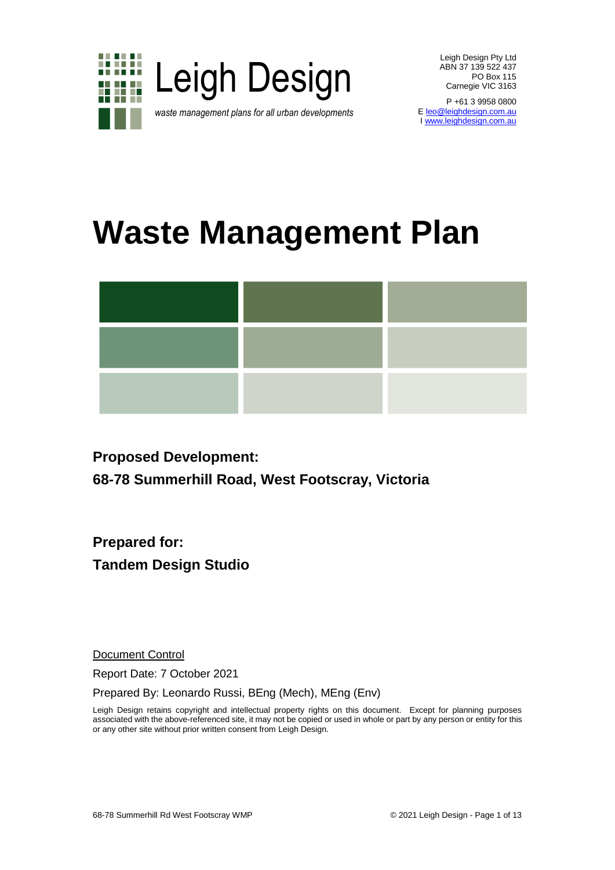

P +61 3 9958 0800 E <u>leo@leighdesign.com.au</u> [I www.leighdesign.com.au](http://www.leighdesign.com.au/)

# **Waste Management Plan**



# **Proposed Development:**

**68-78 Summerhill Road, West Footscray, Victoria**

**Prepared for: Tandem Design Studio**

Document Control

Report Date: 7 October 2021

Prepared By: Leonardo Russi, BEng (Mech), MEng (Env)

Leigh Design retains copyright and intellectual property rights on this document. Except for planning purposes associated with the above-referenced site, it may not be copied or used in whole or part by any person or entity for this or any other site without prior written consent from Leigh Design.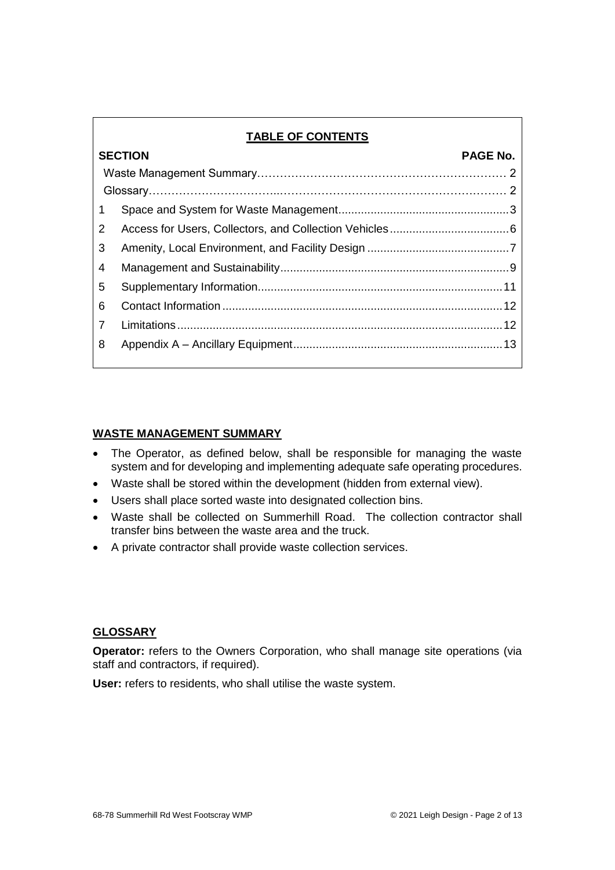# **TABLE OF CONTENTS**

|    | <b>SECTION</b> | <b>PAGE No.</b> |
|----|----------------|-----------------|
|    |                |                 |
|    |                |                 |
| 1. |                |                 |
| 2  |                |                 |
| 3  |                |                 |
| 4  |                |                 |
| 5  |                |                 |
| 6  |                |                 |
| 7  |                |                 |
| 8  |                |                 |

#### **WASTE MANAGEMENT SUMMARY**

- The Operator, as defined below, shall be responsible for managing the waste system and for developing and implementing adequate safe operating procedures.
- Waste shall be stored within the development (hidden from external view).
- Users shall place sorted waste into designated collection bins.
- Waste shall be collected on Summerhill Road. The collection contractor shall transfer bins between the waste area and the truck.
- A private contractor shall provide waste collection services.

# **GLOSSARY**

**Operator:** refers to the Owners Corporation, who shall manage site operations (via staff and contractors, if required).

**User:** refers to residents, who shall utilise the waste system.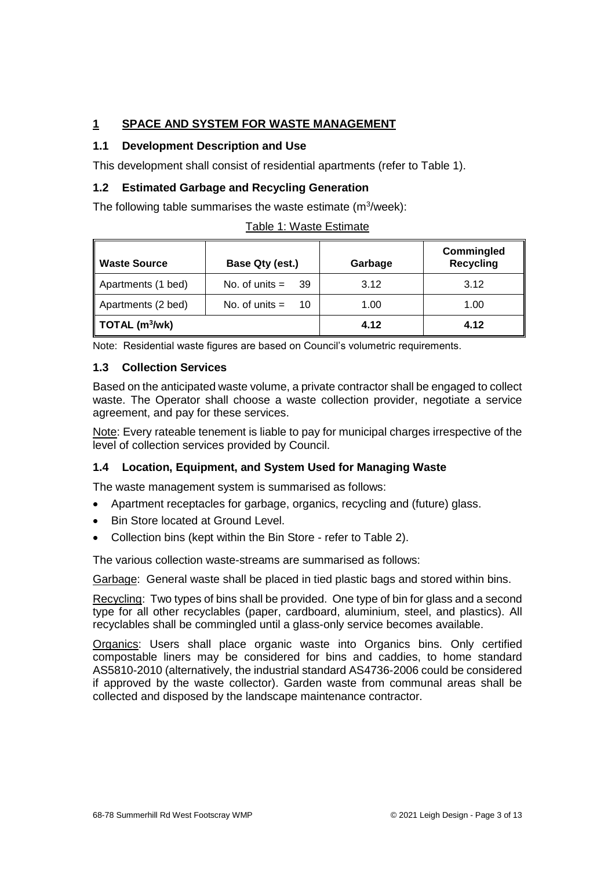# <span id="page-2-0"></span>**1 SPACE AND SYSTEM FOR WASTE MANAGEMENT**

#### **1.1 Development Description and Use**

This development shall consist of residential apartments (refer to Table 1).

#### **1.2 Estimated Garbage and Recycling Generation**

The following table summarises the waste estimate (m $3$ /week):

| <b>Waste Source</b> | Base Qty (est.)        | Garbage | <b>Commingled</b><br><b>Recycling</b> |
|---------------------|------------------------|---------|---------------------------------------|
| Apartments (1 bed)  | No. of units $=$ 39    | 3.12    | 3.12                                  |
| Apartments (2 bed)  | No. of units $=$<br>10 | 1.00    | 1.00                                  |
| $TOTAL$ (m $3$ /wk) |                        | 4.12    | 4.12                                  |

|  | Table 1: Waste Estimate |
|--|-------------------------|
|  |                         |

Note: Residential waste figures are based on Council's volumetric requirements.

#### **1.3 Collection Services**

Based on the anticipated waste volume, a private contractor shall be engaged to collect waste. The Operator shall choose a waste collection provider, negotiate a service agreement, and pay for these services.

Note: Every rateable tenement is liable to pay for municipal charges irrespective of the level of collection services provided by Council.

#### **1.4 Location, Equipment, and System Used for Managing Waste**

The waste management system is summarised as follows:

- Apartment receptacles for garbage, organics, recycling and (future) glass.
- Bin Store located at Ground Level.
- Collection bins (kept within the Bin Store refer to Table 2).

The various collection waste-streams are summarised as follows:

Garbage: General waste shall be placed in tied plastic bags and stored within bins.

Recycling: Two types of bins shall be provided. One type of bin for glass and a second type for all other recyclables (paper, cardboard, aluminium, steel, and plastics). All recyclables shall be commingled until a glass-only service becomes available.

Organics: Users shall place organic waste into Organics bins. Only certified compostable liners may be considered for bins and caddies, to home standard AS5810-2010 (alternatively, the industrial standard AS4736-2006 could be considered if approved by the waste collector). Garden waste from communal areas shall be collected and disposed by the landscape maintenance contractor.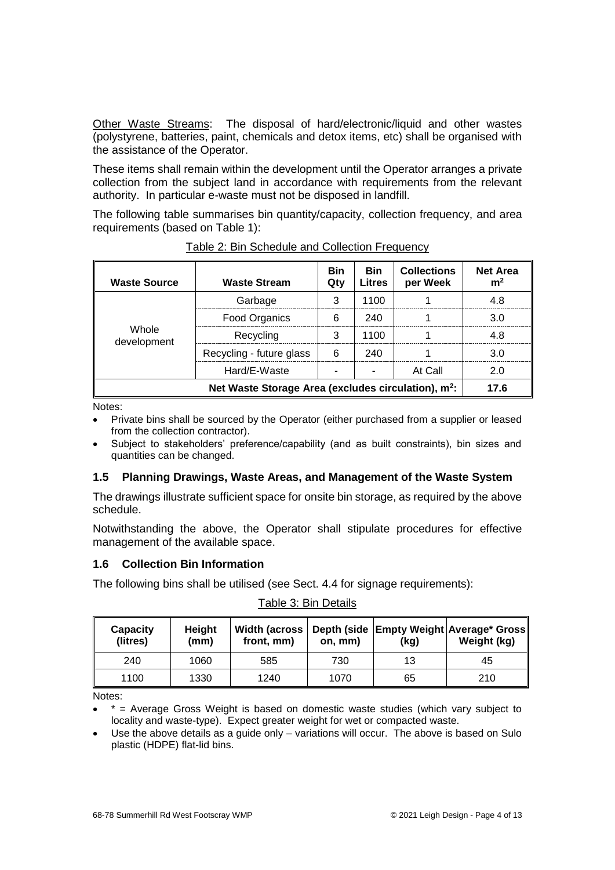Other Waste Streams: The disposal of hard/electronic/liquid and other wastes (polystyrene, batteries, paint, chemicals and detox items, etc) shall be organised with the assistance of the Operator.

These items shall remain within the development until the Operator arranges a private collection from the subject land in accordance with requirements from the relevant authority. In particular e-waste must not be disposed in landfill.

The following table summarises bin quantity/capacity, collection frequency, and area requirements (based on Table 1):

| <b>Waste Source</b>                                             | <b>Waste Stream</b>      | <b>Bin</b><br>Qty | <b>Bin</b><br><b>Litres</b> | <b>Collections</b><br>per Week | <b>Net Area</b><br>m <sup>2</sup> |
|-----------------------------------------------------------------|--------------------------|-------------------|-----------------------------|--------------------------------|-----------------------------------|
|                                                                 | Garbage                  | 3                 | 1100                        |                                | 4.8                               |
|                                                                 | <b>Food Organics</b>     | 6                 | 240                         |                                | 3.0                               |
| Whole<br>development                                            | Recycling                | 3                 | 1100                        |                                | 4.8                               |
|                                                                 | Recycling - future glass | 6                 | 240                         |                                | 3.0                               |
|                                                                 | Hard/E-Waste             |                   |                             | At Call                        | 2.0                               |
| Net Waste Storage Area (excludes circulation), m <sup>2</sup> : |                          |                   |                             | 17.6                           |                                   |

Table 2: Bin Schedule and Collection Frequency

Notes:

- Private bins shall be sourced by the Operator (either purchased from a supplier or leased from the collection contractor).
- Subject to stakeholders' preference/capability (and as built constraints), bin sizes and quantities can be changed.

#### **1.5 Planning Drawings, Waste Areas, and Management of the Waste System**

The drawings illustrate sufficient space for onsite bin storage, as required by the above schedule.

Notwithstanding the above, the Operator shall stipulate procedures for effective management of the available space.

#### **1.6 Collection Bin Information**

The following bins shall be utilised (see Sect. 4.4 for signage requirements):

| Capacity<br>(litres) | Height<br>(mm) | front, mm) | on, mm) | (kg) | Width (across   Depth (side   Empty Weight   Average* Gross   <br>Weight (kg) |
|----------------------|----------------|------------|---------|------|-------------------------------------------------------------------------------|
| 240                  | 1060           | 585        | 730     | 13   | 45                                                                            |
| 1100                 | 1330           | 1240       | 1070    | 65   | 210                                                                           |

Table 3: Bin Details

Notes:

 $*$  = Average Gross Weight is based on domestic waste studies (which vary subject to locality and waste-type). Expect greater weight for wet or compacted waste.

 Use the above details as a guide only – variations will occur. The above is based on Sulo plastic (HDPE) flat-lid bins.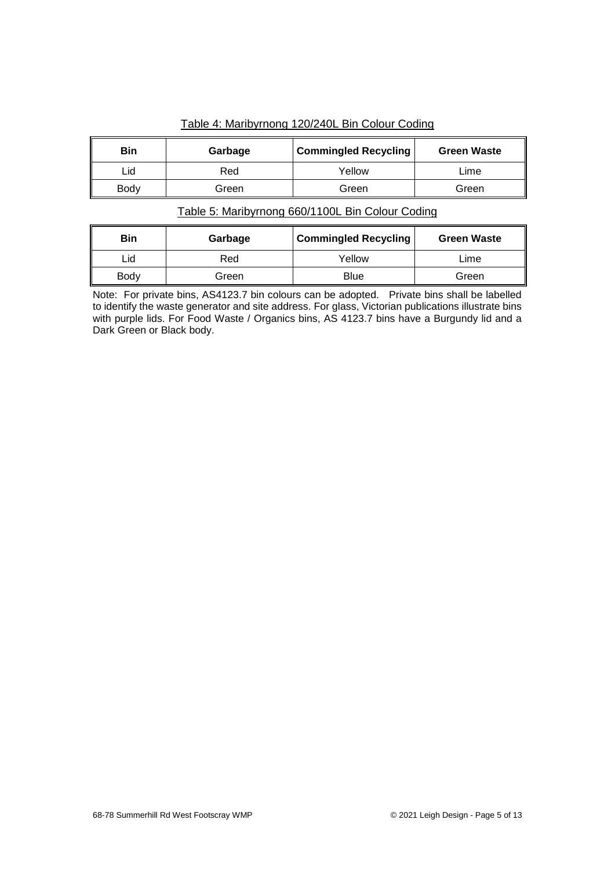|  | Table 4: Maribyrnong 120/240L Bin Colour Coding |
|--|-------------------------------------------------|
|  |                                                 |

| Bin         | Garbage | <b>Commingled Recycling</b> | <b>Green Waste</b> |
|-------------|---------|-----------------------------|--------------------|
| Lid         | Red     | Yellow                      | Lime               |
| <b>Body</b> | Green   | Green                       | Green              |

# Table 5: Maribyrnong 660/1100L Bin Colour Coding

| <b>Bin</b> | Garbage | <b>Commingled Recycling</b> | <b>Green Waste</b> |
|------------|---------|-----------------------------|--------------------|
| ∟id        | Red     | Yellow                      | Lime               |
| Body       | Green   | <b>Blue</b>                 | Green              |

Note: For private bins, AS4123.7 bin colours can be adopted. Private bins shall be labelled to identify the waste generator and site address. For glass, Victorian publications illustrate bins with purple lids. For Food Waste / Organics bins, AS 4123.7 bins have a Burgundy lid and a Dark Green or Black body.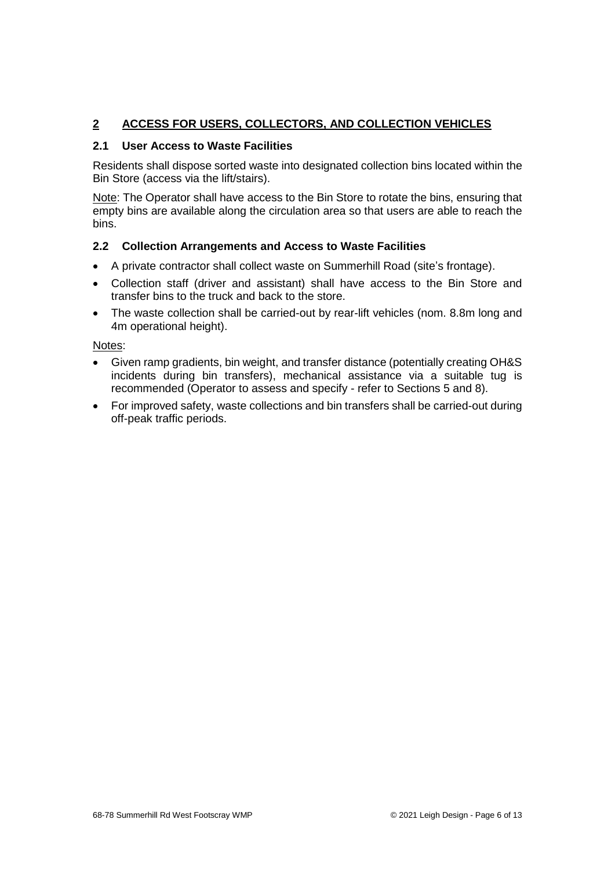# <span id="page-5-0"></span>**2 ACCESS FOR USERS, COLLECTORS, AND COLLECTION VEHICLES**

#### **2.1 User Access to Waste Facilities**

Residents shall dispose sorted waste into designated collection bins located within the Bin Store (access via the lift/stairs).

Note: The Operator shall have access to the Bin Store to rotate the bins, ensuring that empty bins are available along the circulation area so that users are able to reach the bins.

#### **2.2 Collection Arrangements and Access to Waste Facilities**

- A private contractor shall collect waste on Summerhill Road (site's frontage).
- Collection staff (driver and assistant) shall have access to the Bin Store and transfer bins to the truck and back to the store.
- The waste collection shall be carried-out by rear-lift vehicles (nom. 8.8m long and 4m operational height).

Notes:

- Given ramp gradients, bin weight, and transfer distance (potentially creating OH&S incidents during bin transfers), mechanical assistance via a suitable tug is recommended (Operator to assess and specify - refer to Sections 5 and 8).
- For improved safety, waste collections and bin transfers shall be carried-out during off-peak traffic periods.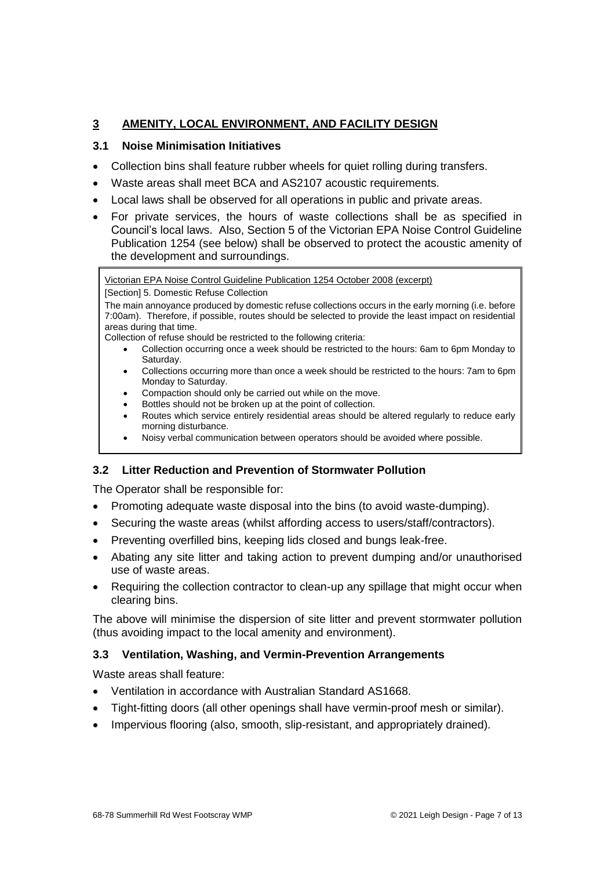# <span id="page-6-0"></span>**3 AMENITY, LOCAL ENVIRONMENT, AND FACILITY DESIGN**

#### **3.1 Noise Minimisation Initiatives**

- Collection bins shall feature rubber wheels for quiet rolling during transfers.
- Waste areas shall meet BCA and AS2107 acoustic requirements.
- Local laws shall be observed for all operations in public and private areas.
- For private services, the hours of waste collections shall be as specified in Council's local laws. Also, Section 5 of the Victorian EPA Noise Control Guideline Publication 1254 (see below) shall be observed to protect the acoustic amenity of the development and surroundings.

Victorian EPA Noise Control Guideline Publication 1254 October 2008 (excerpt)

[Section] 5. Domestic Refuse Collection

The main annoyance produced by domestic refuse collections occurs in the early morning (i.e. before 7:00am). Therefore, if possible, routes should be selected to provide the least impact on residential areas during that time.

Collection of refuse should be restricted to the following criteria:

- Collection occurring once a week should be restricted to the hours: 6am to 6pm Monday to Saturday.
- Collections occurring more than once a week should be restricted to the hours: 7am to 6pm Monday to Saturday.
- Compaction should only be carried out while on the move.
- Bottles should not be broken up at the point of collection.
- Routes which service entirely residential areas should be altered regularly to reduce early morning disturbance.
- Noisy verbal communication between operators should be avoided where possible.

# **3.2 Litter Reduction and Prevention of Stormwater Pollution**

The Operator shall be responsible for:

- Promoting adequate waste disposal into the bins (to avoid waste-dumping).
- Securing the waste areas (whilst affording access to users/staff/contractors).
- Preventing overfilled bins, keeping lids closed and bungs leak-free.
- Abating any site litter and taking action to prevent dumping and/or unauthorised use of waste areas.
- Requiring the collection contractor to clean-up any spillage that might occur when clearing bins.

The above will minimise the dispersion of site litter and prevent stormwater pollution (thus avoiding impact to the local amenity and environment).

#### **3.3 Ventilation, Washing, and Vermin-Prevention Arrangements**

Waste areas shall feature:

- Ventilation in accordance with Australian Standard AS1668.
- Tight-fitting doors (all other openings shall have vermin-proof mesh or similar).
- Impervious flooring (also, smooth, slip-resistant, and appropriately drained).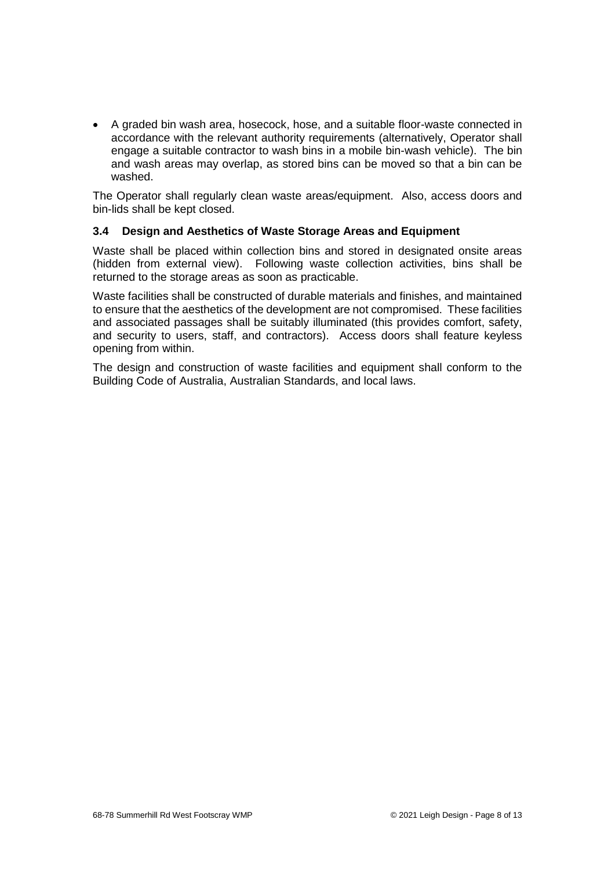A graded bin wash area, hosecock, hose, and a suitable floor-waste connected in accordance with the relevant authority requirements (alternatively, Operator shall engage a suitable contractor to wash bins in a mobile bin-wash vehicle). The bin and wash areas may overlap, as stored bins can be moved so that a bin can be washed.

The Operator shall regularly clean waste areas/equipment. Also, access doors and bin-lids shall be kept closed.

#### **3.4 Design and Aesthetics of Waste Storage Areas and Equipment**

Waste shall be placed within collection bins and stored in designated onsite areas (hidden from external view). Following waste collection activities, bins shall be returned to the storage areas as soon as practicable.

Waste facilities shall be constructed of durable materials and finishes, and maintained to ensure that the aesthetics of the development are not compromised. These facilities and associated passages shall be suitably illuminated (this provides comfort, safety, and security to users, staff, and contractors). Access doors shall feature keyless opening from within.

The design and construction of waste facilities and equipment shall conform to the Building Code of Australia, Australian Standards, and local laws.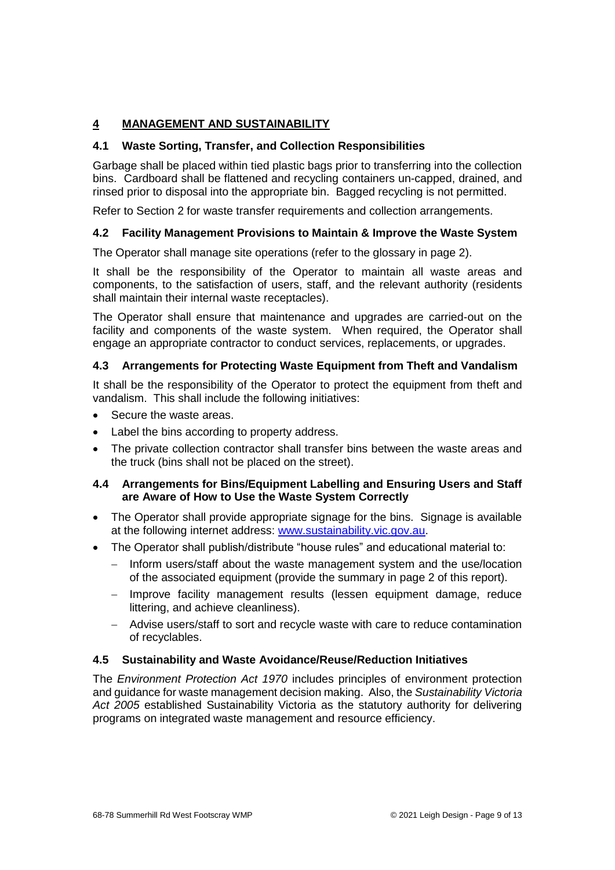# <span id="page-8-0"></span>**4 MANAGEMENT AND SUSTAINABILITY**

#### **4.1 Waste Sorting, Transfer, and Collection Responsibilities**

Garbage shall be placed within tied plastic bags prior to transferring into the collection bins. Cardboard shall be flattened and recycling containers un-capped, drained, and rinsed prior to disposal into the appropriate bin. Bagged recycling is not permitted.

Refer to Section 2 for waste transfer requirements and collection arrangements.

#### **4.2 Facility Management Provisions to Maintain & Improve the Waste System**

The Operator shall manage site operations (refer to the glossary in page 2).

It shall be the responsibility of the Operator to maintain all waste areas and components, to the satisfaction of users, staff, and the relevant authority (residents shall maintain their internal waste receptacles).

The Operator shall ensure that maintenance and upgrades are carried-out on the facility and components of the waste system. When required, the Operator shall engage an appropriate contractor to conduct services, replacements, or upgrades.

#### **4.3 Arrangements for Protecting Waste Equipment from Theft and Vandalism**

It shall be the responsibility of the Operator to protect the equipment from theft and vandalism. This shall include the following initiatives:

- Secure the waste areas.
- Label the bins according to property address.
- The private collection contractor shall transfer bins between the waste areas and the truck (bins shall not be placed on the street).

#### **4.4 Arrangements for Bins/Equipment Labelling and Ensuring Users and Staff are Aware of How to Use the Waste System Correctly**

- The Operator shall provide appropriate signage for the bins. Signage is available at the following internet address: www.sustainability.vic.gov.au.
- The Operator shall publish/distribute "house rules" and educational material to:
	- $-$  Inform users/staff about the waste management system and the use/location of the associated equipment (provide the summary in page 2 of this report).
	- Improve facility management results (lessen equipment damage, reduce littering, and achieve cleanliness).
	- Advise users/staff to sort and recycle waste with care to reduce contamination of recyclables.

#### **4.5 Sustainability and Waste Avoidance/Reuse/Reduction Initiatives**

The *Environment Protection Act 1970* includes principles of environment protection and guidance for waste management decision making. Also, the *Sustainability Victoria Act 2005* established Sustainability Victoria as the statutory authority for delivering programs on integrated waste management and resource efficiency.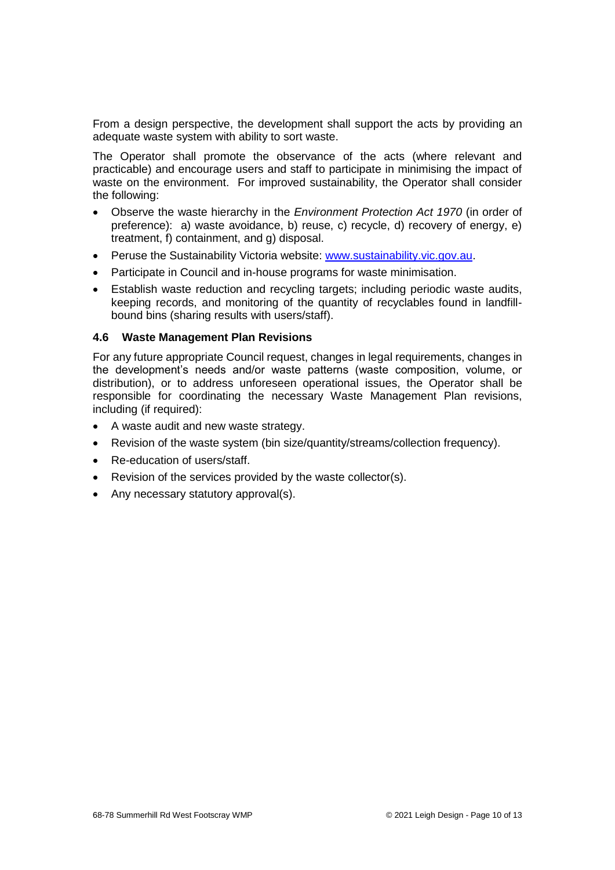From a design perspective, the development shall support the acts by providing an adequate waste system with ability to sort waste.

The Operator shall promote the observance of the acts (where relevant and practicable) and encourage users and staff to participate in minimising the impact of waste on the environment. For improved sustainability, the Operator shall consider the following:

- Observe the waste hierarchy in the *Environment Protection Act 1970* (in order of preference): a) waste avoidance, b) reuse, c) recycle, d) recovery of energy, e) treatment, f) containment, and g) disposal.
- Peruse the Sustainability Victoria website: [www.sustainability.vic.gov.au.](http://www.sustainability.vic.gov.au/)
- Participate in Council and in-house programs for waste minimisation.
- Establish waste reduction and recycling targets; including periodic waste audits, keeping records, and monitoring of the quantity of recyclables found in landfillbound bins (sharing results with users/staff).

#### **4.6 Waste Management Plan Revisions**

For any future appropriate Council request, changes in legal requirements, changes in the development's needs and/or waste patterns (waste composition, volume, or distribution), or to address unforeseen operational issues, the Operator shall be responsible for coordinating the necessary Waste Management Plan revisions, including (if required):

- A waste audit and new waste strategy.
- Revision of the waste system (bin size/quantity/streams/collection frequency).
- Re-education of users/staff.
- Revision of the services provided by the waste collector(s).
- Any necessary statutory approval(s).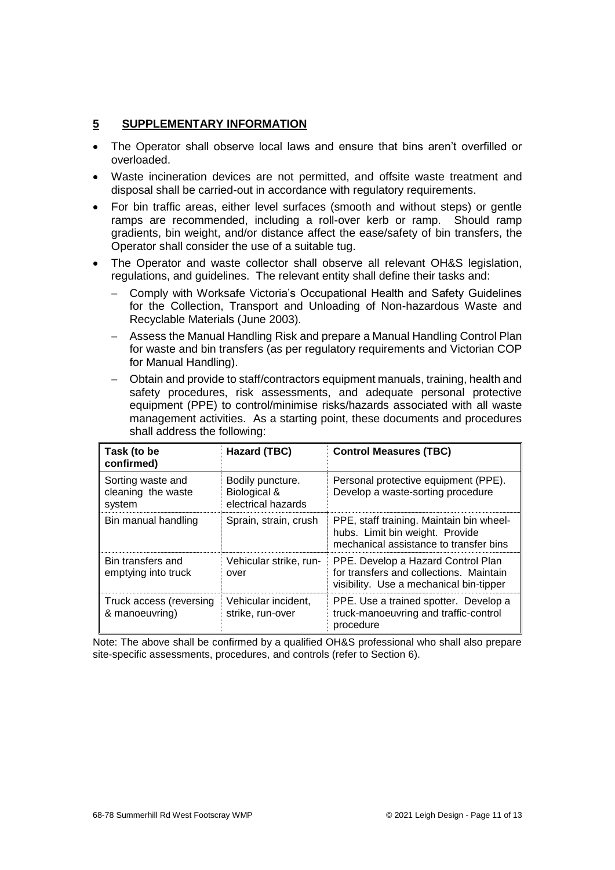#### <span id="page-10-0"></span>**5 SUPPLEMENTARY INFORMATION**

- The Operator shall observe local laws and ensure that bins aren't overfilled or overloaded.
- Waste incineration devices are not permitted, and offsite waste treatment and disposal shall be carried-out in accordance with regulatory requirements.
- For bin traffic areas, either level surfaces (smooth and without steps) or gentle ramps are recommended, including a roll-over kerb or ramp. Should ramp gradients, bin weight, and/or distance affect the ease/safety of bin transfers, the Operator shall consider the use of a suitable tug.
- The Operator and waste collector shall observe all relevant OH&S legislation, regulations, and guidelines. The relevant entity shall define their tasks and:
	- Comply with Worksafe Victoria's Occupational Health and Safety Guidelines for the Collection, Transport and Unloading of Non-hazardous Waste and Recyclable Materials (June 2003).
	- Assess the Manual Handling Risk and prepare a Manual Handling Control Plan for waste and bin transfers (as per regulatory requirements and Victorian COP for Manual Handling).
	- Obtain and provide to staff/contractors equipment manuals, training, health and safety procedures, risk assessments, and adequate personal protective equipment (PPE) to control/minimise risks/hazards associated with all waste management activities. As a starting point, these documents and procedures shall address the following:

| Task (to be<br>confirmed)                         | Hazard (TBC)                                           | <b>Control Measures (TBC)</b>                                                                                            |
|---------------------------------------------------|--------------------------------------------------------|--------------------------------------------------------------------------------------------------------------------------|
| Sorting waste and<br>cleaning the waste<br>system | Bodily puncture.<br>Biological &<br>electrical hazards | Personal protective equipment (PPE).<br>Develop a waste-sorting procedure                                                |
| Bin manual handling                               | Sprain, strain, crush                                  | PPE, staff training. Maintain bin wheel-<br>hubs. Limit bin weight. Provide<br>mechanical assistance to transfer bins    |
| Bin transfers and<br>emptying into truck          | Vehicular strike, run-<br>over                         | PPE. Develop a Hazard Control Plan<br>for transfers and collections. Maintain<br>visibility. Use a mechanical bin-tipper |
| Truck access (reversing<br>& manoeuvring)         | Vehicular incident,<br>strike, run-over                | PPE. Use a trained spotter. Develop a<br>truck-manoeuvring and traffic-control<br>procedure                              |

Note: The above shall be confirmed by a qualified OH&S professional who shall also prepare site-specific assessments, procedures, and controls (refer to Section 6).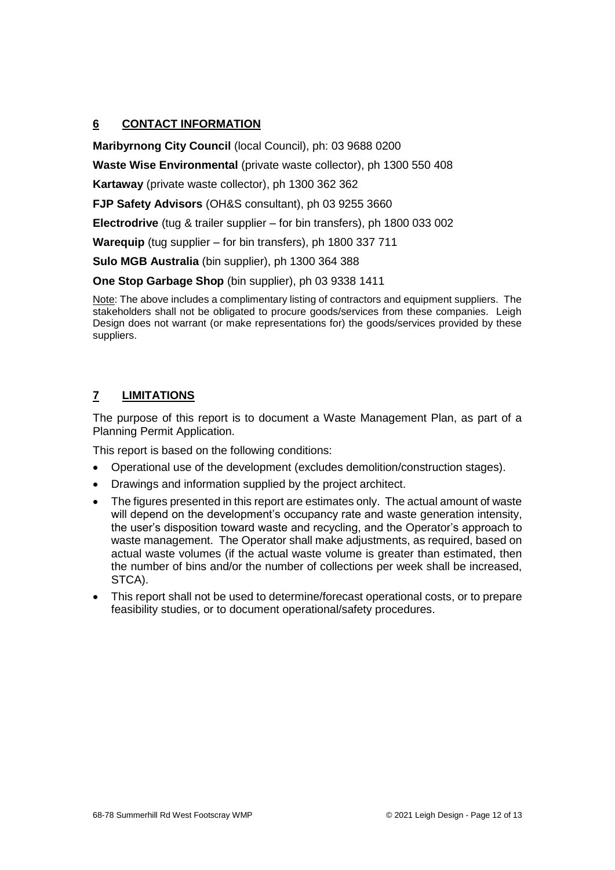# <span id="page-11-0"></span>**6 CONTACT INFORMATION**

**Maribyrnong City Council** (local Council), ph: 03 9688 0200

**Waste Wise Environmental** (private waste collector), ph 1300 550 408

**Kartaway** (private waste collector), ph 1300 362 362

**FJP Safety Advisors** (OH&S consultant), ph 03 9255 3660

**Electrodrive** (tug & trailer supplier – for bin transfers), ph 1800 033 002

**Warequip** (tug supplier – for bin transfers), ph 1800 337 711

**Sulo MGB Australia** (bin supplier), ph 1300 364 388

**One Stop Garbage Shop** (bin supplier), ph 03 9338 1411

Note: The above includes a complimentary listing of contractors and equipment suppliers. The stakeholders shall not be obligated to procure goods/services from these companies. Leigh Design does not warrant (or make representations for) the goods/services provided by these suppliers.

# <span id="page-11-1"></span>**7 LIMITATIONS**

The purpose of this report is to document a Waste Management Plan, as part of a Planning Permit Application.

This report is based on the following conditions:

- Operational use of the development (excludes demolition/construction stages).
- Drawings and information supplied by the project architect.
- The figures presented in this report are estimates only. The actual amount of waste will depend on the development's occupancy rate and waste generation intensity, the user's disposition toward waste and recycling, and the Operator's approach to waste management. The Operator shall make adjustments, as required, based on actual waste volumes (if the actual waste volume is greater than estimated, then the number of bins and/or the number of collections per week shall be increased, STCA).
- This report shall not be used to determine/forecast operational costs, or to prepare feasibility studies, or to document operational/safety procedures.